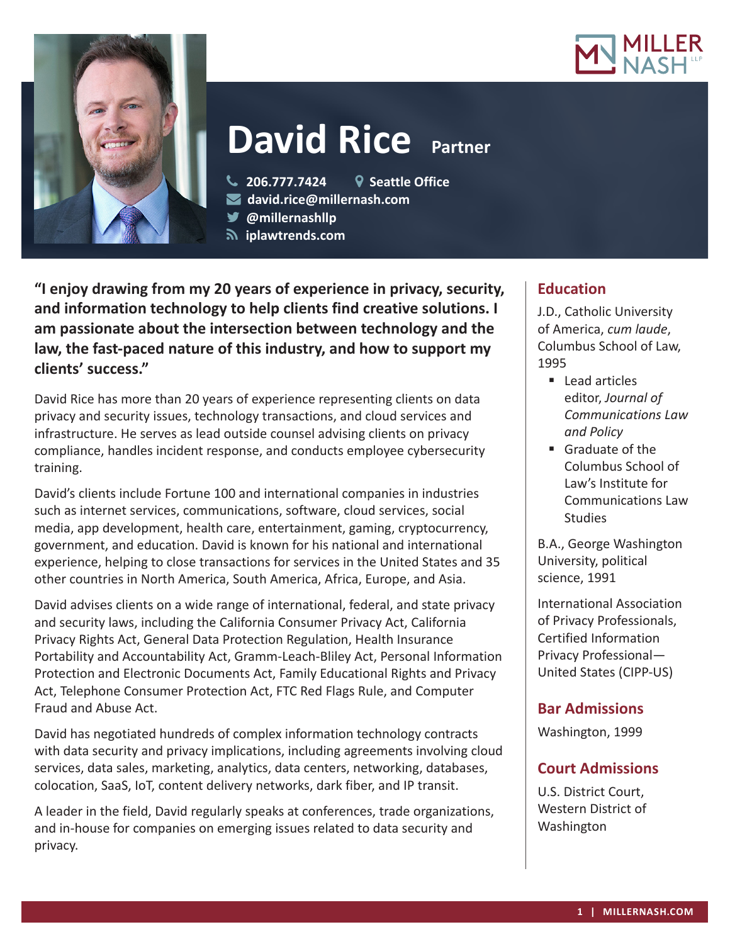



# **David Rice Partner**

**206.777.7424 Seattle Office**

- **david.rice@millernash.com**
- **@millernashllp**
- **iplawtrends.com**

**"I enjoy drawing from my 20 years of experience in privacy, security, and information technology to help clients find creative solutions. I am passionate about the intersection between technology and the law, the fast-paced nature of this industry, and how to support my clients' success."**

David Rice has more than 20 years of experience representing clients on data privacy and security issues, technology transactions, and cloud services and infrastructure. He serves as lead outside counsel advising clients on privacy compliance, handles incident response, and conducts employee cybersecurity training.

David's clients include Fortune 100 and international companies in industries such as internet services, communications, software, cloud services, social media, app development, health care, entertainment, gaming, cryptocurrency, government, and education. David is known for his national and international experience, helping to close transactions for services in the United States and 35 other countries in North America, South America, Africa, Europe, and Asia.

David advises clients on a wide range of international, federal, and state privacy and security laws, including the California Consumer Privacy Act, California Privacy Rights Act, General Data Protection Regulation, Health Insurance Portability and Accountability Act, Gramm-Leach-Bliley Act, Personal Information Protection and Electronic Documents Act, Family Educational Rights and Privacy Act, Telephone Consumer Protection Act, FTC Red Flags Rule, and Computer Fraud and Abuse Act.

David has negotiated hundreds of complex information technology contracts with data security and privacy implications, including agreements involving cloud services, data sales, marketing, analytics, data centers, networking, databases, colocation, SaaS, IoT, content delivery networks, dark fiber, and IP transit.

A leader in the field, David regularly speaks at conferences, trade organizations, and in-house for companies on emerging issues related to data security and privacy.

## **Education**

J.D., Catholic University of America, *cum laude*, Columbus School of Law, 1995

- Lead articles editor, *Journal of Communications Law and Policy*
- Graduate of the Columbus School of Law's Institute for Communications Law Studies

B.A., George Washington University, political science, 1991

International Association of Privacy Professionals, Certified Information Privacy Professional— United States (CIPP-US)

## **Bar Admissions**

Washington, 1999

## **Court Admissions**

U.S. District Court, Western District of Washington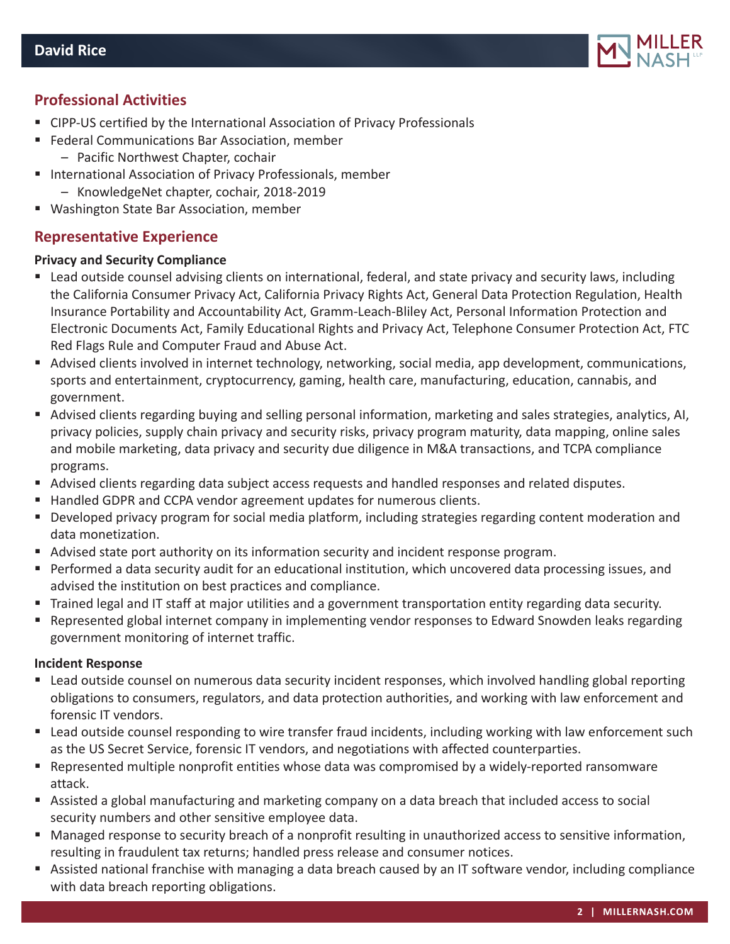

## **Professional Activities**

- CIPP-US certified by the International Association of Privacy Professionals
- Federal Communications Bar Association, member – Pacific Northwest Chapter, cochair
- **International Association of Privacy Professionals, member** – KnowledgeNet chapter, cochair, 2018-2019
- Washington State Bar Association, member

## **Representative Experience**

#### **Privacy and Security Compliance**

- Lead outside counsel advising clients on international, federal, and state privacy and security laws, including the California Consumer Privacy Act, California Privacy Rights Act, General Data Protection Regulation, Health Insurance Portability and Accountability Act, Gramm-Leach-Bliley Act, Personal Information Protection and Electronic Documents Act, Family Educational Rights and Privacy Act, Telephone Consumer Protection Act, FTC Red Flags Rule and Computer Fraud and Abuse Act.
- Advised clients involved in internet technology, networking, social media, app development, communications, sports and entertainment, cryptocurrency, gaming, health care, manufacturing, education, cannabis, and government.
- Advised clients regarding buying and selling personal information, marketing and sales strategies, analytics, AI, privacy policies, supply chain privacy and security risks, privacy program maturity, data mapping, online sales and mobile marketing, data privacy and security due diligence in M&A transactions, and TCPA compliance programs.
- Advised clients regarding data subject access requests and handled responses and related disputes.
- Handled GDPR and CCPA vendor agreement updates for numerous clients.
- Developed privacy program for social media platform, including strategies regarding content moderation and data monetization.
- Advised state port authority on its information security and incident response program.
- Performed a data security audit for an educational institution, which uncovered data processing issues, and advised the institution on best practices and compliance.
- Trained legal and IT staff at major utilities and a government transportation entity regarding data security.
- Represented global internet company in implementing vendor responses to Edward Snowden leaks regarding government monitoring of internet traffic.

#### **Incident Response**

- Lead outside counsel on numerous data security incident responses, which involved handling global reporting obligations to consumers, regulators, and data protection authorities, and working with law enforcement and forensic IT vendors.
- Lead outside counsel responding to wire transfer fraud incidents, including working with law enforcement such as the US Secret Service, forensic IT vendors, and negotiations with affected counterparties.
- Represented multiple nonprofit entities whose data was compromised by a widely-reported ransomware attack.
- Assisted a global manufacturing and marketing company on a data breach that included access to social security numbers and other sensitive employee data.
- Managed response to security breach of a nonprofit resulting in unauthorized access to sensitive information, resulting in fraudulent tax returns; handled press release and consumer notices.
- Assisted national franchise with managing a data breach caused by an IT software vendor, including compliance with data breach reporting obligations.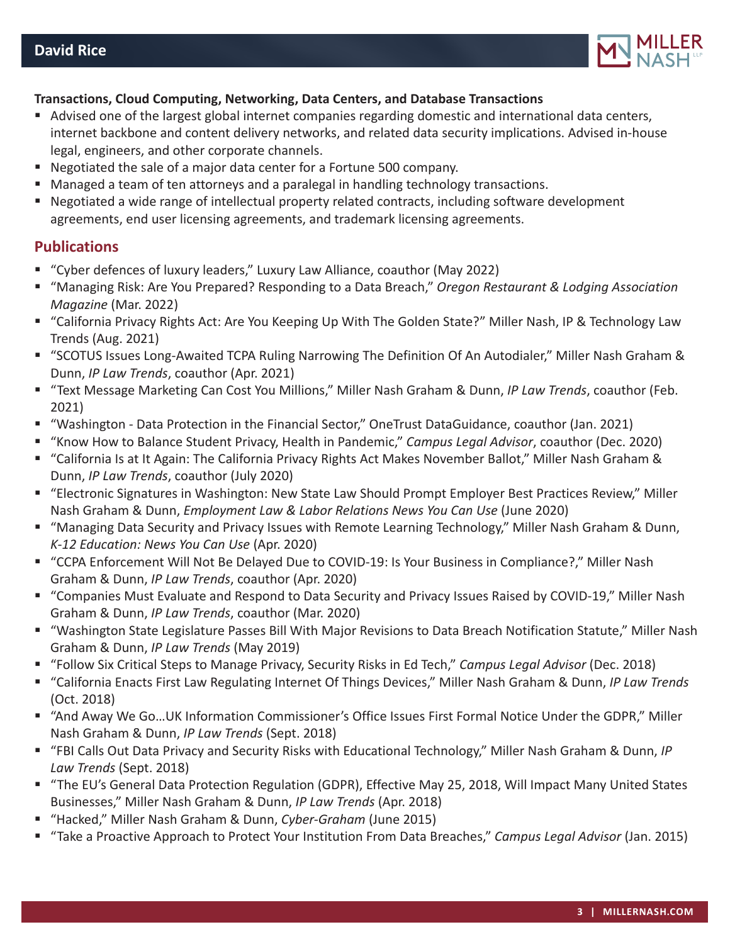

#### **Transactions, Cloud Computing, Networking, Data Centers, and Database Transactions**

- Advised one of the largest global internet companies regarding domestic and international data centers, internet backbone and content delivery networks, and related data security implications. Advised in-house legal, engineers, and other corporate channels.
- Negotiated the sale of a major data center for a Fortune 500 company.
- **Managed a team of ten attorneys and a paralegal in handling technology transactions.**
- Negotiated a wide range of intellectual property related contracts, including software development agreements, end user licensing agreements, and trademark licensing agreements.

#### **Publications**

- "Cyber defences of luxury leaders," Luxury Law Alliance, coauthor (May 2022)
- "Managing Risk: Are You Prepared? Responding to a Data Breach," *Oregon Restaurant & Lodging Association Magazine* (Mar. 2022)
- "California Privacy Rights Act: Are You Keeping Up With The Golden State?" Miller Nash, IP & Technology Law Trends (Aug. 2021)
- "SCOTUS Issues Long-Awaited TCPA Ruling Narrowing The Definition Of An Autodialer," Miller Nash Graham & Dunn, *IP Law Trends*, coauthor (Apr. 2021)
- "Text Message Marketing Can Cost You Millions," Miller Nash Graham & Dunn, *IP Law Trends*, coauthor (Feb. 2021)
- "Washington Data Protection in the Financial Sector," OneTrust DataGuidance, coauthor (Jan. 2021)
- "Know How to Balance Student Privacy, Health in Pandemic," *Campus Legal Advisor*, coauthor (Dec. 2020)
- "California Is at It Again: The California Privacy Rights Act Makes November Ballot," Miller Nash Graham & Dunn, *IP Law Trends*, coauthor (July 2020)
- "Electronic Signatures in Washington: New State Law Should Prompt Employer Best Practices Review," Miller Nash Graham & Dunn, *Employment Law & Labor Relations News You Can Use* (June 2020)
- "Managing Data Security and Privacy Issues with Remote Learning Technology," Miller Nash Graham & Dunn, *K-12 Education: News You Can Use* (Apr. 2020)
- "CCPA Enforcement Will Not Be Delayed Due to COVID-19: Is Your Business in Compliance?," Miller Nash Graham & Dunn, *IP Law Trends*, coauthor (Apr. 2020)
- "Companies Must Evaluate and Respond to Data Security and Privacy Issues Raised by COVID-19," Miller Nash Graham & Dunn, *IP Law Trends*, coauthor (Mar. 2020)
- "Washington State Legislature Passes Bill With Major Revisions to Data Breach Notification Statute," Miller Nash Graham & Dunn, *IP Law Trends* (May 2019)
- "Follow Six Critical Steps to Manage Privacy, Security Risks in Ed Tech," *Campus Legal Advisor* (Dec. 2018)
- "California Enacts First Law Regulating Internet Of Things Devices," Miller Nash Graham & Dunn, *IP Law Trends* (Oct. 2018)
- "And Away We Go…UK Information Commissioner's Office Issues First Formal Notice Under the GDPR," Miller Nash Graham & Dunn, *IP Law Trends* (Sept. 2018)
- "FBI Calls Out Data Privacy and Security Risks with Educational Technology," Miller Nash Graham & Dunn, *IP Law Trends* (Sept. 2018)
- "The EU's General Data Protection Regulation (GDPR), Effective May 25, 2018, Will Impact Many United States Businesses," Miller Nash Graham & Dunn, *IP Law Trends* (Apr. 2018)
- "Hacked," Miller Nash Graham & Dunn, *Cyber-Graham* (June 2015)
- "Take a Proactive Approach to Protect Your Institution From Data Breaches," *Campus Legal Advisor* (Jan. 2015)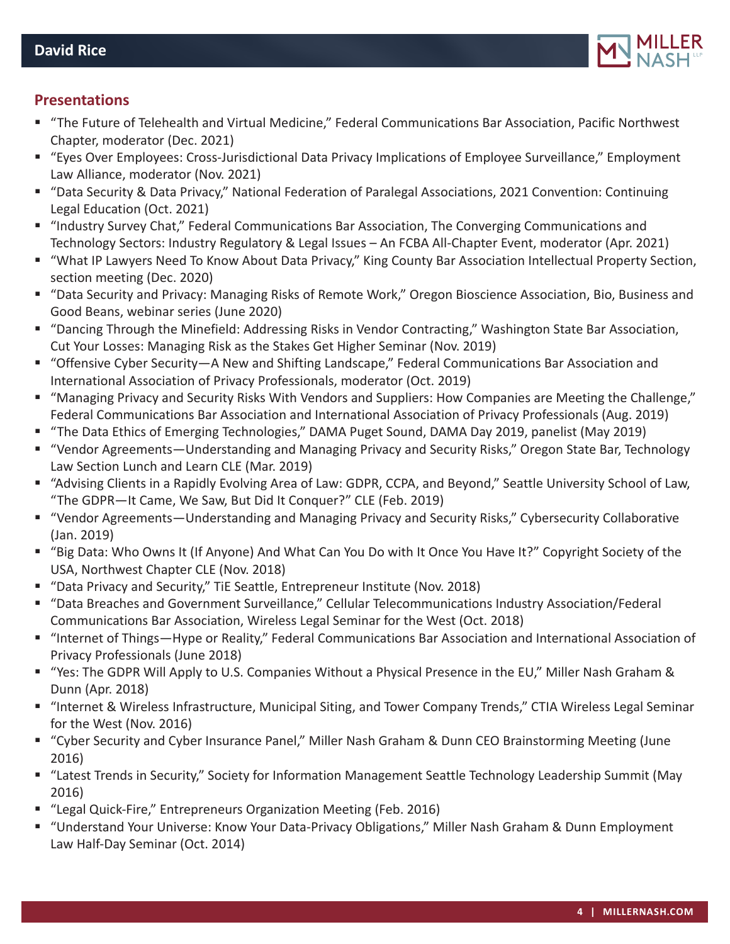

## **Presentations**

- "The Future of Telehealth and Virtual Medicine," Federal Communications Bar Association, Pacific Northwest Chapter, moderator (Dec. 2021)
- "Eyes Over Employees: Cross-Jurisdictional Data Privacy Implications of Employee Surveillance," Employment Law Alliance, moderator (Nov. 2021)
- "Data Security & Data Privacy," National Federation of Paralegal Associations, 2021 Convention: Continuing Legal Education (Oct. 2021)
- "Industry Survey Chat," Federal Communications Bar Association, The Converging Communications and Technology Sectors: Industry Regulatory & Legal Issues – An FCBA All-Chapter Event, moderator (Apr. 2021)
- "What IP Lawyers Need To Know About Data Privacy," King County Bar Association Intellectual Property Section, section meeting (Dec. 2020)
- "Data Security and Privacy: Managing Risks of Remote Work," Oregon Bioscience Association, Bio, Business and Good Beans, webinar series (June 2020)
- "Dancing Through the Minefield: Addressing Risks in Vendor Contracting," Washington State Bar Association, Cut Your Losses: Managing Risk as the Stakes Get Higher Seminar (Nov. 2019)
- "Offensive Cyber Security—A New and Shifting Landscape," Federal Communications Bar Association and International Association of Privacy Professionals, moderator (Oct. 2019)
- "Managing Privacy and Security Risks With Vendors and Suppliers: How Companies are Meeting the Challenge," Federal Communications Bar Association and International Association of Privacy Professionals (Aug. 2019)
- "The Data Ethics of Emerging Technologies," DAMA Puget Sound, DAMA Day 2019, panelist (May 2019)
- "Vendor Agreements—Understanding and Managing Privacy and Security Risks," Oregon State Bar, Technology Law Section Lunch and Learn CLE (Mar. 2019)
- "Advising Clients in a Rapidly Evolving Area of Law: GDPR, CCPA, and Beyond," Seattle University School of Law, "The GDPR—It Came, We Saw, But Did It Conquer?" CLE (Feb. 2019)
- "Vendor Agreements—Understanding and Managing Privacy and Security Risks," Cybersecurity Collaborative (Jan. 2019)
- "Big Data: Who Owns It (If Anyone) And What Can You Do with It Once You Have It?" Copyright Society of the USA, Northwest Chapter CLE (Nov. 2018)
- "Data Privacy and Security," TiE Seattle, Entrepreneur Institute (Nov. 2018)
- "Data Breaches and Government Surveillance," Cellular Telecommunications Industry Association/Federal Communications Bar Association, Wireless Legal Seminar for the West (Oct. 2018)
- "Internet of Things—Hype or Reality," Federal Communications Bar Association and International Association of Privacy Professionals (June 2018)
- "Yes: The GDPR Will Apply to U.S. Companies Without a Physical Presence in the EU," Miller Nash Graham & Dunn (Apr. 2018)
- "Internet & Wireless Infrastructure, Municipal Siting, and Tower Company Trends," CTIA Wireless Legal Seminar for the West (Nov. 2016)
- "Cyber Security and Cyber Insurance Panel," Miller Nash Graham & Dunn CEO Brainstorming Meeting (June 2016)
- "Latest Trends in Security," Society for Information Management Seattle Technology Leadership Summit (May 2016)
- "Legal Quick-Fire," Entrepreneurs Organization Meeting (Feb. 2016)
- "Understand Your Universe: Know Your Data-Privacy Obligations," Miller Nash Graham & Dunn Employment Law Half-Day Seminar (Oct. 2014)